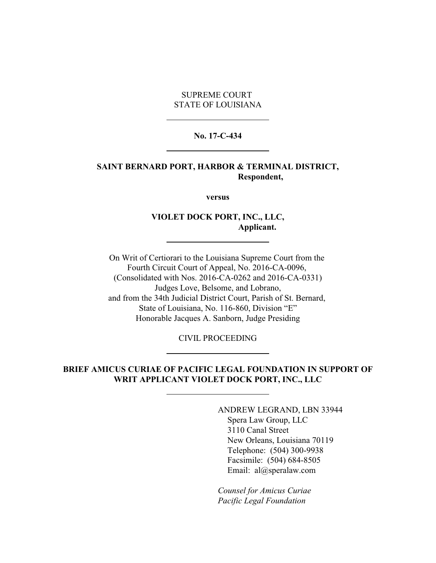SUPREME COURT STATE OF LOUISIANA

#### **No. 17-C-434**

### **SAINT BERNARD PORT, HARBOR & TERMINAL DISTRICT, Respondent,**

**versus**

## **VIOLET DOCK PORT, INC., LLC, Applicant.**

On Writ of Certiorari to the Louisiana Supreme Court from the Fourth Circuit Court of Appeal, No. 2016-CA-0096, (Consolidated with Nos. 2016-CA-0262 and 2016-CA-0331) Judges Love, Belsome, and Lobrano, and from the 34th Judicial District Court, Parish of St. Bernard, State of Louisiana, No. 116-860, Division "E" Honorable Jacques A. Sanborn, Judge Presiding

CIVIL PROCEEDING

# **BRIEF AMICUS CURIAE OF PACIFIC LEGAL FOUNDATION IN SUPPORT OF WRIT APPLICANT VIOLET DOCK PORT, INC., LLC**

ANDREW LEGRAND, LBN 33944 Spera Law Group, LLC 3110 Canal Street New Orleans, Louisiana 70119 Telephone: (504) 300-9938 Facsimile: (504) 684-8505 Email: al@speralaw.com

*Counsel for Amicus Curiae Pacific Legal Foundation*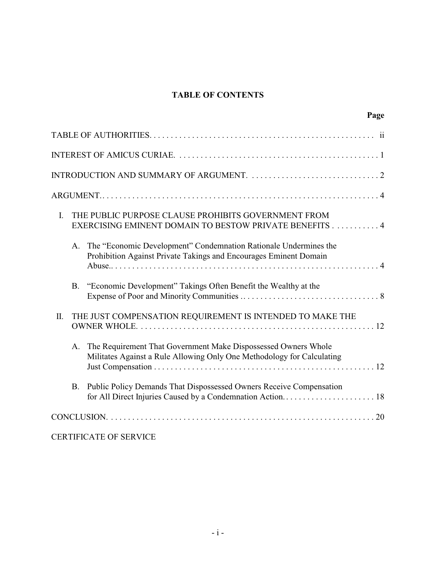# **TABLE OF CONTENTS**

| Page                                                                                                                                           |
|------------------------------------------------------------------------------------------------------------------------------------------------|
|                                                                                                                                                |
|                                                                                                                                                |
|                                                                                                                                                |
|                                                                                                                                                |
| THE PUBLIC PURPOSE CLAUSE PROHIBITS GOVERNMENT FROM<br>I.<br>EXERCISING EMINENT DOMAIN TO BESTOW PRIVATE BENEFITS 4                            |
| The "Economic Development" Condemnation Rationale Undermines the<br>A.<br>Prohibition Against Private Takings and Encourages Eminent Domain    |
| "Economic Development" Takings Often Benefit the Wealthy at the<br><b>B.</b>                                                                   |
| THE JUST COMPENSATION REQUIREMENT IS INTENDED TO MAKE THE<br>II.                                                                               |
| The Requirement That Government Make Dispossessed Owners Whole<br>A.<br>Militates Against a Rule Allowing Only One Methodology for Calculating |
| Public Policy Demands That Dispossessed Owners Receive Compensation<br><b>B.</b>                                                               |
|                                                                                                                                                |
| <b>CERTIFICATE OF SERVICE</b>                                                                                                                  |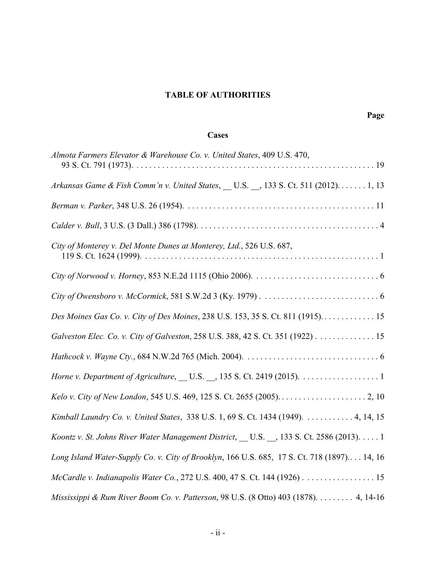# **TABLE OF AUTHORITIES**

# **Cases**

| Almota Farmers Elevator & Warehouse Co. v. United States, 409 U.S. 470,                     |
|---------------------------------------------------------------------------------------------|
| Arkansas Game & Fish Comm'n v. United States, U.S., 133 S. Ct. 511 (2012) 1, 13             |
|                                                                                             |
|                                                                                             |
| City of Monterey v. Del Monte Dunes at Monterey, Ltd., 526 U.S. 687,                        |
|                                                                                             |
|                                                                                             |
| Des Moines Gas Co. v. City of Des Moines, 238 U.S. 153, 35 S. Ct. 811 (1915) 15             |
| Galveston Elec. Co. v. City of Galveston, 258 U.S. 388, 42 S. Ct. 351 (1922) 15             |
|                                                                                             |
|                                                                                             |
|                                                                                             |
| Kimball Laundry Co. v. United States, 338 U.S. 1, 69 S. Ct. 1434 (1949). 4, 14, 15          |
| Koontz v. St. Johns River Water Management District, U.S., 133 S. Ct. 2586 (2013). 1        |
| Long Island Water-Supply Co. v. City of Brooklyn, 166 U.S. 685, 17 S. Ct. 718 (1897) 14, 16 |
| McCardle v. Indianapolis Water Co., 272 U.S. 400, 47 S. Ct. 144 (1926) 15                   |
| Mississippi & Rum River Boom Co. v. Patterson, 98 U.S. (8 Otto) 403 (1878). 4, 14-16        |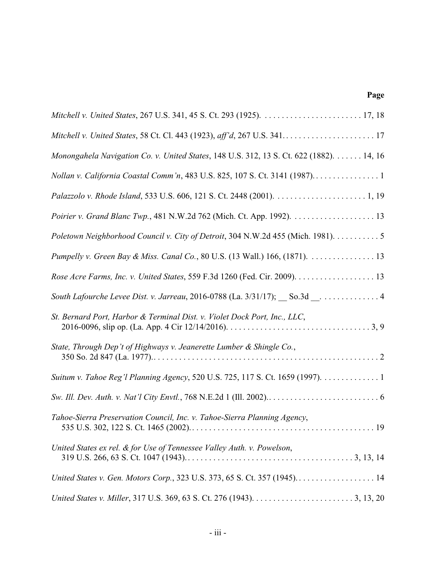# **Page**

| Monongahela Navigation Co. v. United States, 148 U.S. 312, 13 S. Ct. 622 (1882). 14, 16 |
|-----------------------------------------------------------------------------------------|
| Nollan v. California Coastal Comm'n, 483 U.S. 825, 107 S. Ct. 3141 (1987)               |
|                                                                                         |
|                                                                                         |
| Poletown Neighborhood Council v. City of Detroit, 304 N.W.2d 455 (Mich. 1981). 5        |
| Pumpelly v. Green Bay & Miss. Canal Co., 80 U.S. (13 Wall.) 166, (1871). 13             |
|                                                                                         |
| South Lafourche Levee Dist. v. Jarreau, 2016-0788 (La. 3/31/17); So.3d __ 4             |
| St. Bernard Port, Harbor & Terminal Dist. v. Violet Dock Port, Inc., LLC,               |
| State, Through Dep't of Highways v. Jeanerette Lumber & Shingle Co.,                    |
| Suitum v. Tahoe Reg'l Planning Agency, 520 U.S. 725, 117 S. Ct. 1659 (1997). 1          |
|                                                                                         |
| Tahoe-Sierra Preservation Council, Inc. v. Tahoe-Sierra Planning Agency,                |
| United States ex rel. & for Use of Tennessee Valley Auth. v. Powelson,                  |
|                                                                                         |
|                                                                                         |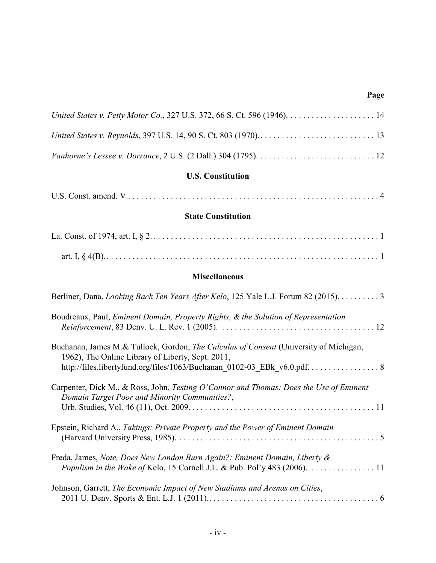# **Page**

| <b>U.S. Constitution</b>                                                                                                                   |
|--------------------------------------------------------------------------------------------------------------------------------------------|
|                                                                                                                                            |
| <b>State Constitution</b>                                                                                                                  |
|                                                                                                                                            |
|                                                                                                                                            |
| <b>Miscellaneous</b>                                                                                                                       |
| Berliner, Dana, Looking Back Ten Years After Kelo, 125 Yale L.J. Forum 82 (2015). 3                                                        |
| Boudreaux, Paul, Eminent Domain, Property Rights, & the Solution of Representation                                                         |
| Buchanan, James M.& Tullock, Gordon, The Calculus of Consent (University of Michigan,<br>1962), The Online Library of Liberty, Sept. 2011, |
| Carpenter, Dick M., & Ross, John, Testing O'Connor and Thomas: Does the Use of Eminent<br>Domain Target Poor and Minority Communities?,    |
| Epstein, Richard A., Takings: Private Property and the Power of Eminent Domain                                                             |
| Freda, James, Note, Does New London Burn Again?: Eminent Domain, Liberty &                                                                 |

| Johnson, Garrett, The Economic Impact of New Stadiums and Arenas on Cities, |  |
|-----------------------------------------------------------------------------|--|
|                                                                             |  |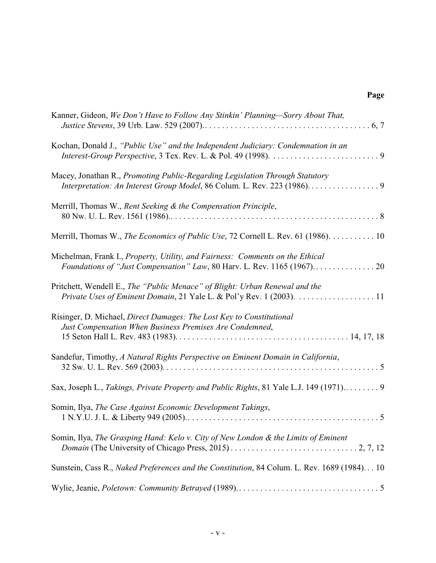# **Page**

| Kanner, Gideon, We Don't Have to Follow Any Stinkin' Planning-Sorry About That,                                                                     |
|-----------------------------------------------------------------------------------------------------------------------------------------------------|
| Kochan, Donald J., "Public Use" and the Independent Judiciary: Condemnation in an                                                                   |
| Macey, Jonathan R., Promoting Public-Regarding Legislation Through Statutory                                                                        |
| Merrill, Thomas W., Rent Seeking & the Compensation Principle,                                                                                      |
| Merrill, Thomas W., The Economics of Public Use, 72 Cornell L. Rev. 61 (1986). 10                                                                   |
| Michelman, Frank I., Property, Utility, and Fairness: Comments on the Ethical                                                                       |
| Pritchett, Wendell E., The "Public Menace" of Blight: Urban Renewal and the<br>Private Uses of Eminent Domain, 21 Yale L. & Pol'y Rev. 1 (2003). 11 |
| Risinger, D. Michael, Direct Damages: The Lost Key to Constitutional<br>Just Compensation When Business Premises Are Condemned,                     |
| Sandefur, Timothy, A Natural Rights Perspective on Eminent Domain in California,                                                                    |
| Sax, Joseph L., Takings, Private Property and Public Rights, 81 Yale L.J. 149 (1971) 9                                                              |
| Somin, Ilya, The Case Against Economic Development Takings,                                                                                         |
| Somin, Ilya, The Grasping Hand: Kelo v. City of New London & the Limits of Eminent                                                                  |
| Sunstein, Cass R., Naked Preferences and the Constitution, 84 Colum. L. Rev. 1689 (1984) 10                                                         |
|                                                                                                                                                     |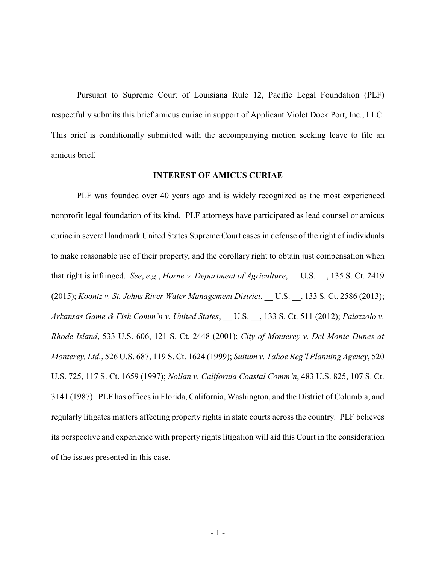Pursuant to Supreme Court of Louisiana Rule 12, Pacific Legal Foundation (PLF) respectfully submits this brief amicus curiae in support of Applicant Violet Dock Port, Inc., LLC. This brief is conditionally submitted with the accompanying motion seeking leave to file an amicus brief.

#### **INTEREST OF AMICUS CURIAE**

PLF was founded over 40 years ago and is widely recognized as the most experienced nonprofit legal foundation of its kind. PLF attorneys have participated as lead counsel or amicus curiae in several landmark United States Supreme Court cases in defense of the right of individuals to make reasonable use of their property, and the corollary right to obtain just compensation when that right is infringed. *See, e.g., Horne v. Department of Agriculture*, U.S. , 135 S. Ct. 2419 (2015); *Koontz v. St. Johns River Water Management District*, \_\_ U.S. \_\_, 133 S. Ct. 2586 (2013); *Arkansas Game & Fish Comm'n v. United States*, \_\_ U.S. \_\_, 133 S. Ct. 511 (2012); *Palazzolo v. Rhode Island*, 533 U.S. 606, 121 S. Ct. 2448 (2001); *City of Monterey v. Del Monte Dunes at Monterey, Ltd.*, 526 U.S. 687, 119 S. Ct. 1624 (1999); *Suitum v. Tahoe Reg'l Planning Agency*, 520 U.S. 725, 117 S. Ct. 1659 (1997); *Nollan v. California Coastal Comm'n*, 483 U.S. 825, 107 S. Ct. 3141 (1987). PLF has offices in Florida, California, Washington, and the District of Columbia, and regularly litigates matters affecting property rights in state courts across the country. PLF believes its perspective and experience with property rights litigation will aid this Court in the consideration of the issues presented in this case.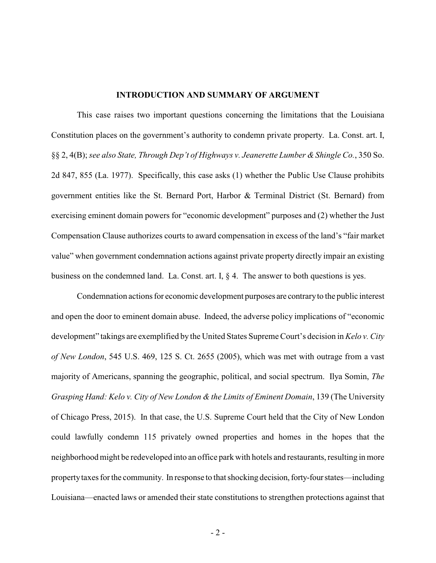#### **INTRODUCTION AND SUMMARY OF ARGUMENT**

This case raises two important questions concerning the limitations that the Louisiana Constitution places on the government's authority to condemn private property. La. Const. art. I, §§ 2, 4(B); *see also State, Through Dep't of Highways v. Jeanerette Lumber & Shingle Co.*, 350 So. 2d 847, 855 (La. 1977). Specifically, this case asks (1) whether the Public Use Clause prohibits government entities like the St. Bernard Port, Harbor & Terminal District (St. Bernard) from exercising eminent domain powers for "economic development" purposes and (2) whether the Just Compensation Clause authorizes courts to award compensation in excess of the land's "fair market value" when government condemnation actions against private property directly impair an existing business on the condemned land. La. Const. art. I,  $\S$  4. The answer to both questions is yes.

Condemnation actions for economic development purposes are contraryto the public interest and open the door to eminent domain abuse. Indeed, the adverse policy implications of "economic development" takings are exemplified by the United States Supreme Court's decision in *Kelo v. City of New London*, 545 U.S. 469, 125 S. Ct. 2655 (2005), which was met with outrage from a vast majority of Americans, spanning the geographic, political, and social spectrum. Ilya Somin, *The Grasping Hand: Kelo v. City of New London & the Limits of Eminent Domain*, 139 (The University of Chicago Press, 2015). In that case, the U.S. Supreme Court held that the City of New London could lawfully condemn 115 privately owned properties and homes in the hopes that the neighborhood might be redeveloped into an office park with hotels and restaurants, resulting in more property taxes for the community. In response to that shocking decision, forty-four states—including Louisiana—enacted laws or amended their state constitutions to strengthen protections against that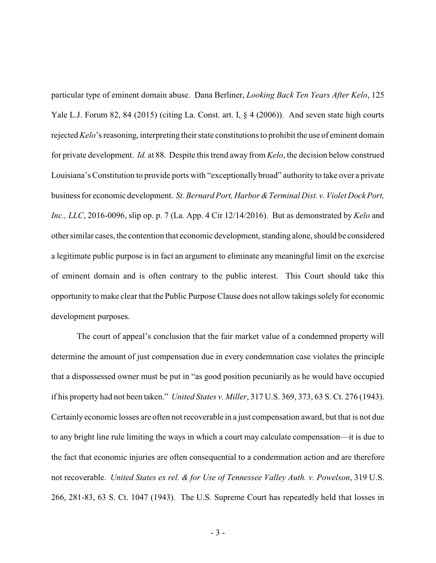particular type of eminent domain abuse. Dana Berliner, *Looking Back Ten Years After Kelo*, 125 Yale L.J. Forum 82, 84 (2015) (citing La. Const. art. I,  $\S$  4 (2006)). And seven state high courts rejected *Kelo*'s reasoning, interpreting their state constitutions to prohibit the use of eminent domain for private development. *Id.* at 88. Despite this trend away from *Kelo*, the decision below construed Louisiana's Constitution to provide ports with "exceptionally broad" authority to take over a private business for economic development. *St. Bernard Port, Harbor &Terminal Dist. v. Violet Dock Port, Inc., LLC*, 2016-0096, slip op. p. 7 (La. App. 4 Cir 12/14/2016). But as demonstrated by *Kelo* and other similar cases, the contention that economic development, standing alone, should be considered a legitimate public purpose is in fact an argument to eliminate any meaningful limit on the exercise of eminent domain and is often contrary to the public interest. This Court should take this opportunity to make clear that the Public Purpose Clause does not allow takings solely for economic development purposes.

The court of appeal's conclusion that the fair market value of a condemned property will determine the amount of just compensation due in every condemnation case violates the principle that a dispossessed owner must be put in "as good position pecuniarily as he would have occupied if his property had not been taken." *United States v. Miller*, 317 U.S. 369, 373, 63 S. Ct. 276 (1943). Certainly economic losses are often not recoverable in a just compensation award, but that is not due to any bright line rule limiting the ways in which a court may calculate compensation—it is due to the fact that economic injuries are often consequential to a condemnation action and are therefore not recoverable. *United States ex rel. & for Use of Tennessee Valley Auth. v. Powelson*, 319 U.S. 266, 281-83, 63 S. Ct. 1047 (1943). The U.S. Supreme Court has repeatedly held that losses in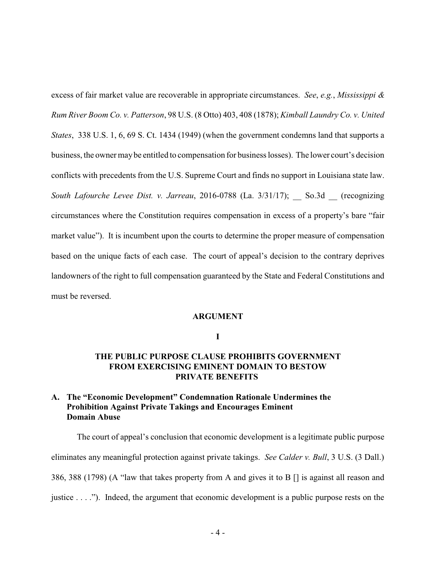excess of fair market value are recoverable in appropriate circumstances. *See*, *e.g.*, *Mississippi & Rum River Boom Co. v. Patterson*, 98 U.S. (8 Otto) 403, 408 (1878); *Kimball Laundry Co. v. United States*, 338 U.S. 1, 6, 69 S. Ct. 1434 (1949) (when the government condemns land that supports a business, the owner maybe entitled to compensation for business losses). The lower court's decision conflicts with precedents from the U.S. Supreme Court and finds no support in Louisiana state law. *South Lafourche Levee Dist. v. Jarreau*, 2016-0788 (La. 3/31/17); \_\_ So.3d \_\_ (recognizing circumstances where the Constitution requires compensation in excess of a property's bare "fair market value"). It is incumbent upon the courts to determine the proper measure of compensation based on the unique facts of each case. The court of appeal's decision to the contrary deprives landowners of the right to full compensation guaranteed by the State and Federal Constitutions and must be reversed.

### **ARGUMENT**

**I**

# **THE PUBLIC PURPOSE CLAUSE PROHIBITS GOVERNMENT FROM EXERCISING EMINENT DOMAIN TO BESTOW PRIVATE BENEFITS**

# **A. The "Economic Development" Condemnation Rationale Undermines the Prohibition Against Private Takings and Encourages Eminent Domain Abuse**

The court of appeal's conclusion that economic development is a legitimate public purpose eliminates any meaningful protection against private takings. *See Calder v. Bull*, 3 U.S. (3 Dall.) 386, 388 (1798) (A "law that takes property from A and gives it to B [] is against all reason and justice . . . ."). Indeed, the argument that economic development is a public purpose rests on the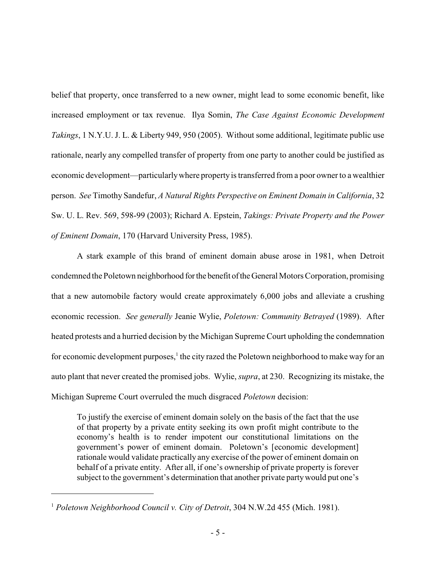belief that property, once transferred to a new owner, might lead to some economic benefit, like increased employment or tax revenue. Ilya Somin, *The Case Against Economic Development Takings*, 1 N.Y.U. J. L. & Liberty 949, 950 (2005). Without some additional, legitimate public use rationale, nearly any compelled transfer of property from one party to another could be justified as economic development—particularlywhere propertyis transferred from a poor owner to a wealthier person. *See* Timothy Sandefur, *A Natural Rights Perspective on Eminent Domain in California*, 32 Sw. U. L. Rev. 569, 598-99 (2003); Richard A. Epstein, *Takings: Private Property and the Power of Eminent Domain*, 170 (Harvard University Press, 1985).

A stark example of this brand of eminent domain abuse arose in 1981, when Detroit condemned the Poletown neighborhood forthe benefit oftheGeneral Motors Corporation, promising that a new automobile factory would create approximately 6,000 jobs and alleviate a crushing economic recession. *See generally* Jeanie Wylie, *Poletown: Community Betrayed* (1989). After heated protests and a hurried decision by the Michigan Supreme Court upholding the condemnation for economic development purposes,<sup>1</sup> the city razed the Poletown neighborhood to make way for an auto plant that never created the promised jobs. Wylie, *supra*, at 230. Recognizing its mistake, the Michigan Supreme Court overruled the much disgraced *Poletown* decision:

To justify the exercise of eminent domain solely on the basis of the fact that the use of that property by a private entity seeking its own profit might contribute to the economy's health is to render impotent our constitutional limitations on the government's power of eminent domain. Poletown's [economic development] rationale would validate practically any exercise of the power of eminent domain on behalf of a private entity. After all, if one's ownership of private property is forever subject to the government's determination that another private partywould put one's

<sup>1</sup> *Poletown Neighborhood Council v. City of Detroit*, 304 N.W.2d 455 (Mich. 1981).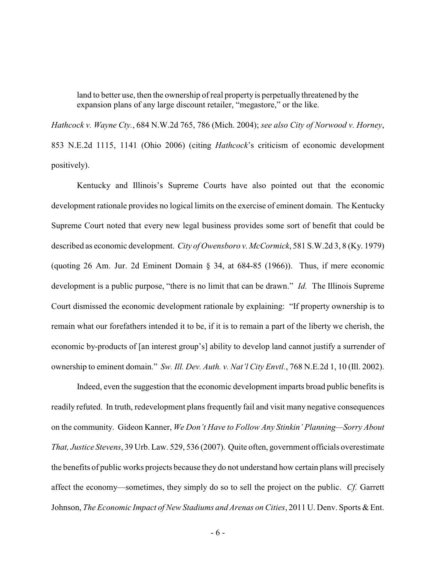land to better use, then the ownership of real property is perpetually threatened by the expansion plans of any large discount retailer, "megastore," or the like.

*Hathcock v. Wayne Cty.*, 684 N.W.2d 765, 786 (Mich. 2004); *see also City of Norwood v. Horney*, 853 N.E.2d 1115, 1141 (Ohio 2006) (citing *Hathcock*'s criticism of economic development positively).

Kentucky and Illinois's Supreme Courts have also pointed out that the economic development rationale provides no logical limits on the exercise of eminent domain. The Kentucky Supreme Court noted that every new legal business provides some sort of benefit that could be described as economic development. *City of Owensboro v. McCormick*, 581 S.W.2d 3, 8 (Ky. 1979) (quoting 26 Am. Jur. 2d Eminent Domain § 34, at 684-85 (1966)). Thus, if mere economic development is a public purpose, "there is no limit that can be drawn." *Id.* The Illinois Supreme Court dismissed the economic development rationale by explaining: "If property ownership is to remain what our forefathers intended it to be, if it is to remain a part of the liberty we cherish, the economic by-products of [an interest group's] ability to develop land cannot justify a surrender of ownership to eminent domain." *Sw. Ill. Dev. Auth. v. Nat'l City Envtl.*, 768 N.E.2d 1, 10 (Ill. 2002).

Indeed, even the suggestion that the economic development imparts broad public benefits is readily refuted. In truth, redevelopment plans frequently fail and visit many negative consequences on the community. Gideon Kanner, *We Don't Have to Follow Any Stinkin' Planning—Sorry About That, Justice Stevens*, 39 Urb. Law. 529, 536 (2007). Quite often, government officials overestimate the benefits of public works projects because they do not understand how certain plans will precisely affect the economy—sometimes, they simply do so to sell the project on the public. *Cf.* Garrett Johnson, *The Economic Impact of New Stadiums and Arenas on Cities*, 2011 U. Denv. Sports & Ent.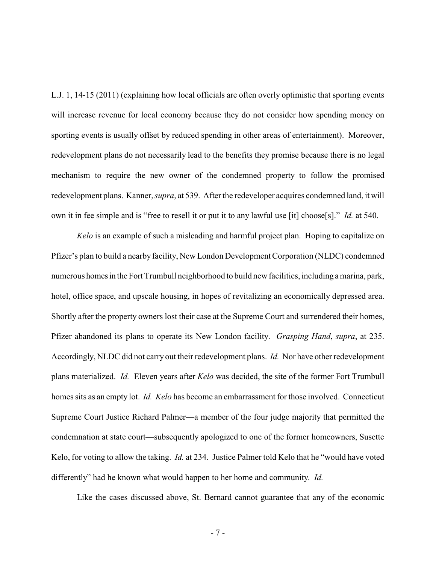L.J. 1, 14-15 (2011) (explaining how local officials are often overly optimistic that sporting events will increase revenue for local economy because they do not consider how spending money on sporting events is usually offset by reduced spending in other areas of entertainment). Moreover, redevelopment plans do not necessarily lead to the benefits they promise because there is no legal mechanism to require the new owner of the condemned property to follow the promised redevelopment plans. Kanner, *supra*, at 539. After the redeveloper acquires condemned land, it will own it in fee simple and is "free to resell it or put it to any lawful use [it] choose[s]." *Id.* at 540.

*Kelo* is an example of such a misleading and harmful project plan. Hoping to capitalize on Pfizer's plan to build a nearby facility, New London Development Corporation (NLDC) condemned numerous homesin the Fort Trumbull neighborhood to build new facilities, including a marina, park, hotel, office space, and upscale housing, in hopes of revitalizing an economically depressed area. Shortly after the property owners lost their case at the Supreme Court and surrendered their homes, Pfizer abandoned its plans to operate its New London facility. *Grasping Hand*, *supra*, at 235. Accordingly, NLDC did not carry out their redevelopment plans. *Id.* Nor have other redevelopment plans materialized. *Id.* Eleven years after *Kelo* was decided, the site of the former Fort Trumbull homes sits as an empty lot. *Id. Kelo* has become an embarrassment for those involved. Connecticut Supreme Court Justice Richard Palmer—a member of the four judge majority that permitted the condemnation at state court—subsequently apologized to one of the former homeowners, Susette Kelo, for voting to allow the taking. *Id.* at 234. Justice Palmer told Kelo that he "would have voted differently" had he known what would happen to her home and community. *Id.* 

Like the cases discussed above, St. Bernard cannot guarantee that any of the economic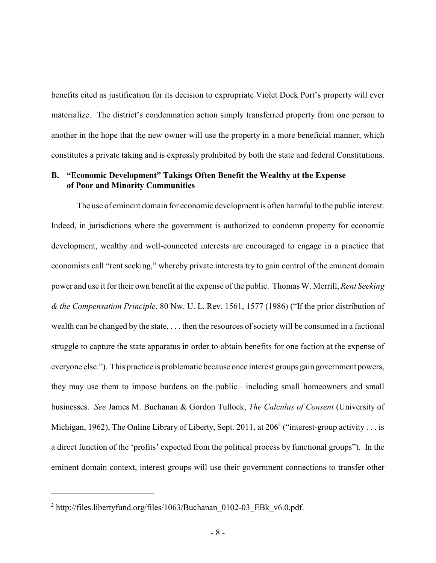benefits cited as justification for its decision to expropriate Violet Dock Port's property will ever materialize. The district's condemnation action simply transferred property from one person to another in the hope that the new owner will use the property in a more beneficial manner, which constitutes a private taking and is expressly prohibited by both the state and federal Constitutions.

## **B. "Economic Development" Takings Often Benefit the Wealthy at the Expense of Poor and Minority Communities**

The use of eminent domain for economic development is often harmful to the public interest. Indeed, in jurisdictions where the government is authorized to condemn property for economic development, wealthy and well-connected interests are encouraged to engage in a practice that economists call "rent seeking," whereby private interests try to gain control of the eminent domain power and use it for their own benefit at the expense of the public. Thomas W. Merrill, *Rent Seeking & the Compensation Principle*, 80 Nw. U. L. Rev. 1561, 1577 (1986) ("If the prior distribution of wealth can be changed by the state, . . . then the resources of society will be consumed in a factional struggle to capture the state apparatus in order to obtain benefits for one faction at the expense of everyone else."). This practice is problematic because once interest groups gain government powers, they may use them to impose burdens on the public—including small homeowners and small businesses. *See* James M. Buchanan & Gordon Tullock, *The Calculus of Consent* (University of Michigan, 1962), The Online Library of Liberty, Sept. 2011, at  $206^2$  ("interest-group activity . . . is a direct function of the 'profits' expected from the political process by functional groups"). In the eminent domain context, interest groups will use their government connections to transfer other

<sup>&</sup>lt;sup>2</sup> http://files.libertyfund.org/files/1063/Buchanan\_0102-03\_EBk\_v6.0.pdf.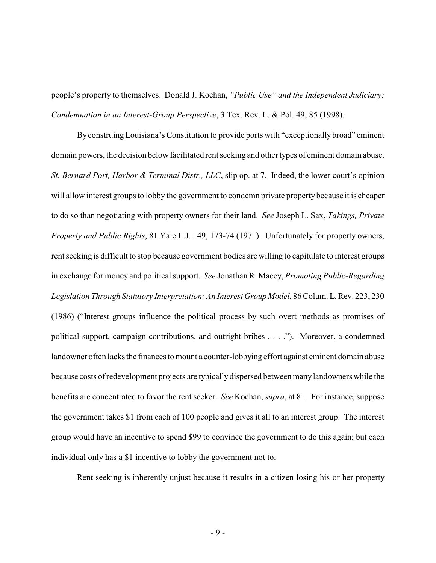people's property to themselves. Donald J. Kochan, *"Public Use" and the Independent Judiciary: Condemnation in an Interest-Group Perspective*, 3 Tex. Rev. L. & Pol. 49, 85 (1998).

By construing Louisiana's Constitution to provide ports with "exceptionally broad" eminent domain powers, the decision below facilitated rent seeking and other types of eminent domain abuse. *St. Bernard Port, Harbor & Terminal Distr., LLC*, slip op. at 7. Indeed, the lower court's opinion will allow interest groups to lobby the government to condemn private property because it is cheaper to do so than negotiating with property owners for their land. *See* Joseph L. Sax, *Takings, Private Property and Public Rights*, 81 Yale L.J. 149, 173-74 (1971). Unfortunately for property owners, rent seeking is difficult to stop because government bodies are willing to capitulate to interest groups in exchange for money and political support. *See* Jonathan R. Macey, *Promoting Public-Regarding Legislation Through Statutory Interpretation: An Interest Group Model*, 86 Colum. L. Rev. 223, 230 (1986) ("Interest groups influence the political process by such overt methods as promises of political support, campaign contributions, and outright bribes . . . ."). Moreover, a condemned landowner often lacks the finances to mount a counter-lobbying effort against eminent domain abuse because costs of redevelopment projects are typically dispersed between many landowners while the benefits are concentrated to favor the rent seeker. *See* Kochan, *supra*, at 81. For instance, suppose the government takes \$1 from each of 100 people and gives it all to an interest group. The interest group would have an incentive to spend \$99 to convince the government to do this again; but each individual only has a \$1 incentive to lobby the government not to.

Rent seeking is inherently unjust because it results in a citizen losing his or her property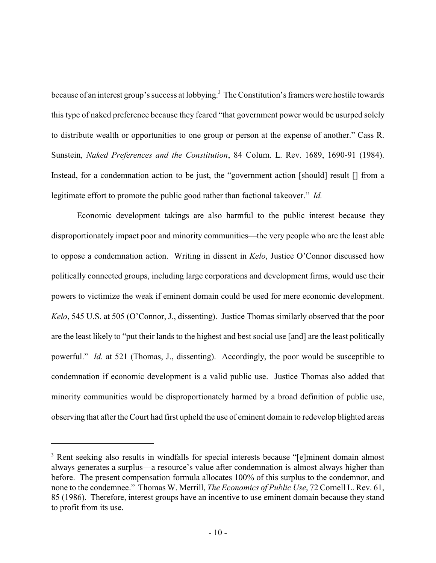because of an interest group's success at lobbying.<sup>3</sup> The Constitution's framers were hostile towards this type of naked preference because they feared "that government power would be usurped solely to distribute wealth or opportunities to one group or person at the expense of another." Cass R. Sunstein, *Naked Preferences and the Constitution*, 84 Colum. L. Rev. 1689, 1690-91 (1984). Instead, for a condemnation action to be just, the "government action [should] result [] from a legitimate effort to promote the public good rather than factional takeover." *Id.*

Economic development takings are also harmful to the public interest because they disproportionately impact poor and minority communities—the very people who are the least able to oppose a condemnation action. Writing in dissent in *Kelo*, Justice O'Connor discussed how politically connected groups, including large corporations and development firms, would use their powers to victimize the weak if eminent domain could be used for mere economic development. *Kelo*, 545 U.S. at 505 (O'Connor, J., dissenting). Justice Thomas similarly observed that the poor are the least likely to "put their lands to the highest and best social use [and] are the least politically powerful." *Id.* at 521 (Thomas, J., dissenting). Accordingly, the poor would be susceptible to condemnation if economic development is a valid public use. Justice Thomas also added that minority communities would be disproportionately harmed by a broad definition of public use, observing that after the Court had first upheld the use of eminent domain to redevelop blighted areas

<sup>&</sup>lt;sup>3</sup> Rent seeking also results in windfalls for special interests because "[e]minent domain almost always generates a surplus—a resource's value after condemnation is almost always higher than before. The present compensation formula allocates 100% of this surplus to the condemnor, and none to the condemnee." Thomas W. Merrill, *The Economics of Public Use*, 72 Cornell L. Rev. 61, 85 (1986). Therefore, interest groups have an incentive to use eminent domain because they stand to profit from its use.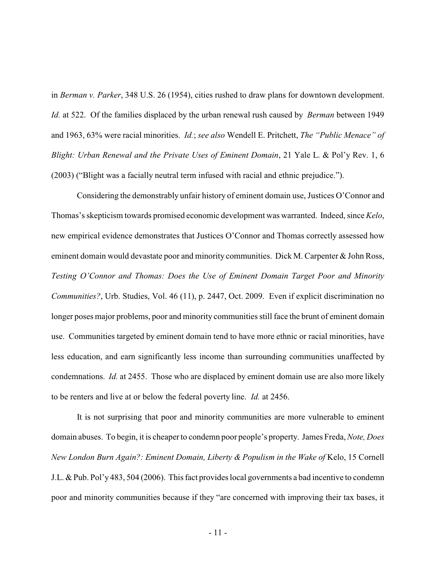in *Berman v. Parker*, 348 U.S. 26 (1954), cities rushed to draw plans for downtown development. *Id.* at 522. Of the families displaced by the urban renewal rush caused by *Berman* between 1949 and 1963, 63% were racial minorities. *Id.*; *see also* Wendell E. Pritchett, *The "Public Menace" of Blight: Urban Renewal and the Private Uses of Eminent Domain*, 21 Yale L. & Pol'y Rev. 1, 6 (2003) ("Blight was a facially neutral term infused with racial and ethnic prejudice.").

Considering the demonstrably unfair history of eminent domain use, Justices O'Connor and Thomas's skepticism towards promised economic development was warranted. Indeed, since *Kelo*, new empirical evidence demonstrates that Justices O'Connor and Thomas correctly assessed how eminent domain would devastate poor and minority communities. Dick M. Carpenter & John Ross, *Testing O'Connor and Thomas: Does the Use of Eminent Domain Target Poor and Minority Communities?*, Urb. Studies, Vol. 46 (11), p. 2447, Oct. 2009. Even if explicit discrimination no longer poses major problems, poor and minority communities still face the brunt of eminent domain use. Communities targeted by eminent domain tend to have more ethnic or racial minorities, have less education, and earn significantly less income than surrounding communities unaffected by condemnations. *Id.* at 2455. Those who are displaced by eminent domain use are also more likely to be renters and live at or below the federal poverty line. *Id.* at 2456.

It is not surprising that poor and minority communities are more vulnerable to eminent domain abuses. To begin, it is cheaper to condemn poor people's property. James Freda, *Note, Does New London Burn Again?: Eminent Domain, Liberty & Populism in the Wake of* Kelo, 15 Cornell J.L. & Pub. Pol'y 483, 504 (2006). This fact provides local governments a bad incentive to condemn poor and minority communities because if they "are concerned with improving their tax bases, it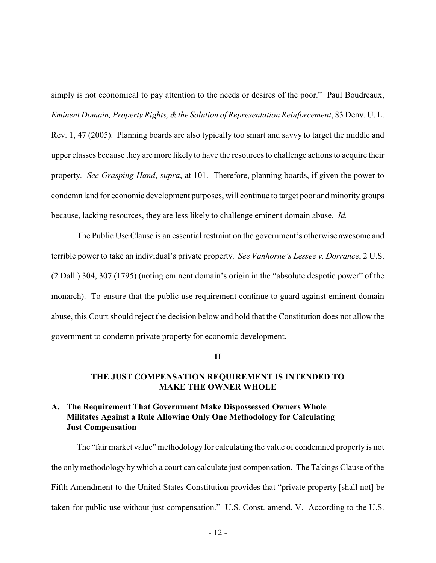simply is not economical to pay attention to the needs or desires of the poor." Paul Boudreaux, *Eminent Domain, Property Rights, &the Solution of Representation Reinforcement*, 83 Denv. U. L.

Rev. 1, 47 (2005). Planning boards are also typically too smart and savvy to target the middle and upper classes because they are more likely to have the resources to challenge actions to acquire their property. *See Grasping Hand*, *supra*, at 101. Therefore, planning boards, if given the power to condemn land for economic development purposes, will continue to target poor and minority groups because, lacking resources, they are less likely to challenge eminent domain abuse. *Id.*

The Public Use Clause is an essential restraint on the government's otherwise awesome and terrible power to take an individual's private property. *See Vanhorne's Lessee v. Dorrance*, 2 U.S. (2 Dall.) 304, 307 (1795) (noting eminent domain's origin in the "absolute despotic power" of the monarch). To ensure that the public use requirement continue to guard against eminent domain abuse, this Court should reject the decision below and hold that the Constitution does not allow the government to condemn private property for economic development.

**II**

# **THE JUST COMPENSATION REQUIREMENT IS INTENDED TO MAKE THE OWNER WHOLE**

# **A. The Requirement That Government Make Dispossessed Owners Whole Militates Against a Rule Allowing Only One Methodology for Calculating Just Compensation**

The "fair market value" methodology for calculating the value of condemned property is not the only methodology by which a court can calculate just compensation. The Takings Clause of the Fifth Amendment to the United States Constitution provides that "private property [shall not] be taken for public use without just compensation." U.S. Const. amend. V. According to the U.S.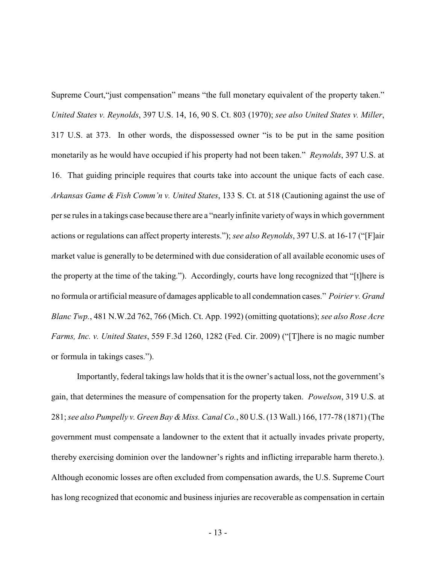Supreme Court,"just compensation" means "the full monetary equivalent of the property taken." *United States v. Reynolds*, 397 U.S. 14, 16, 90 S. Ct. 803 (1970); *see also United States v. Miller*, 317 U.S. at 373. In other words, the dispossessed owner "is to be put in the same position monetarily as he would have occupied if his property had not been taken." *Reynolds*, 397 U.S. at 16. That guiding principle requires that courts take into account the unique facts of each case. *Arkansas Game & Fish Comm'n v. United States*, 133 S. Ct. at 518 (Cautioning against the use of per se rules in a takings case because there are a "nearlyinfinite varietyof ways in which government actions or regulations can affect property interests."); *see also Reynolds*, 397 U.S. at 16-17 ("[F]air market value is generally to be determined with due consideration of all available economic uses of the property at the time of the taking."). Accordingly, courts have long recognized that "[t]here is no formula or artificial measure of damages applicable to all condemnation cases." *Poirier v. Grand Blanc Twp.*, 481 N.W.2d 762, 766 (Mich. Ct. App. 1992) (omitting quotations); *see also Rose Acre Farms, Inc. v. United States*, 559 F.3d 1260, 1282 (Fed. Cir. 2009) ("[T]here is no magic number or formula in takings cases.").

Importantly, federal takings law holds that it is the owner's actual loss, not the government's gain, that determines the measure of compensation for the property taken. *Powelson*, 319 U.S. at 281; *see also Pumpelly v. Green Bay &Miss. Canal Co.*, 80 U.S. (13 Wall.) 166, 177-78 (1871) (The government must compensate a landowner to the extent that it actually invades private property, thereby exercising dominion over the landowner's rights and inflicting irreparable harm thereto.). Although economic losses are often excluded from compensation awards, the U.S. Supreme Court has long recognized that economic and business injuries are recoverable as compensation in certain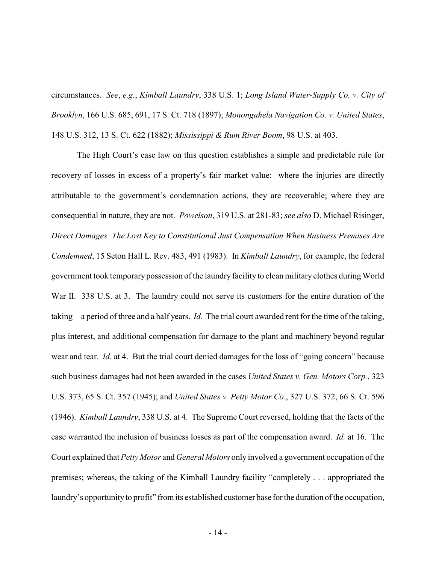circumstances. *See*, *e.g.*, *Kimball Laundry*, 338 U.S. 1; *Long Island Water-Supply Co. v. City of Brooklyn*, 166 U.S. 685, 691, 17 S. Ct. 718 (1897); *Monongahela Navigation Co. v. United States*, 148 U.S. 312, 13 S. Ct. 622 (1882); *Mississippi & Rum River Boom*, 98 U.S. at 403.

The High Court's case law on this question establishes a simple and predictable rule for recovery of losses in excess of a property's fair market value: where the injuries are directly attributable to the government's condemnation actions, they are recoverable; where they are consequential in nature, they are not. *Powelson*, 319 U.S. at 281-83; *see also* D. Michael Risinger, *Direct Damages: The Lost Key to Constitutional Just Compensation When Business Premises Are Condemned*, 15 Seton Hall L. Rev. 483, 491 (1983). In *Kimball Laundry*, for example, the federal government took temporary possession of the laundry facility to clean military clothes during World War II. 338 U.S. at 3. The laundry could not serve its customers for the entire duration of the taking—a period of three and a half years. *Id.* The trial court awarded rent for the time of the taking, plus interest, and additional compensation for damage to the plant and machinery beyond regular wear and tear. *Id.* at 4. But the trial court denied damages for the loss of "going concern" because such business damages had not been awarded in the cases *United States v. Gen. Motors Corp.*, 323 U.S. 373, 65 S. Ct. 357 (1945); and *United States v. Petty Motor Co.*, 327 U.S. 372, 66 S. Ct. 596 (1946). *Kimball Laundry*, 338 U.S. at 4. The Supreme Court reversed, holding that the facts of the case warranted the inclusion of business losses as part of the compensation award. *Id.* at 16. The Court explained that *Petty Motor* and *General Motors* only involved a government occupation of the premises; whereas, the taking of the Kimball Laundry facility "completely . . . appropriated the laundry's opportunityto profit" from its established customer base for the duration of the occupation,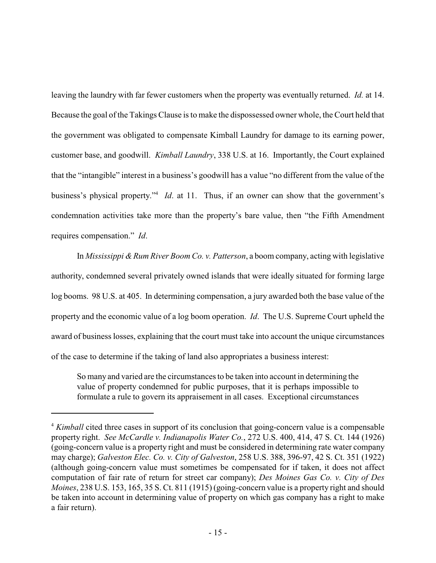leaving the laundry with far fewer customers when the property was eventually returned. *Id.* at 14. Because the goal of the Takings Clause is to make the dispossessed owner whole, the Court held that the government was obligated to compensate Kimball Laundry for damage to its earning power, customer base, and goodwill. *Kimball Laundry*, 338 U.S. at 16. Importantly, the Court explained that the "intangible" interest in a business's goodwill has a value "no different from the value of the business's physical property."<sup>4</sup> *Id*. at 11. Thus, if an owner can show that the government's condemnation activities take more than the property's bare value, then "the Fifth Amendment requires compensation." *Id*.

In *Mississippi & Rum River Boom Co. v. Patterson*, a boom company, acting with legislative authority, condemned several privately owned islands that were ideally situated for forming large log booms. 98 U.S. at 405. In determining compensation, a jury awarded both the base value of the property and the economic value of a log boom operation. *Id*. The U.S. Supreme Court upheld the award of business losses, explaining that the court must take into account the unique circumstances of the case to determine if the taking of land also appropriates a business interest:

So many and varied are the circumstances to be taken into account in determining the value of property condemned for public purposes, that it is perhaps impossible to formulate a rule to govern its appraisement in all cases. Exceptional circumstances

<sup>&</sup>lt;sup>4</sup> *Kimball* cited three cases in support of its conclusion that going-concern value is a compensable property right. *See McCardle v. Indianapolis Water Co.*, 272 U.S. 400, 414, 47 S. Ct. 144 (1926) (going-concern value is a property right and must be considered in determining rate water company may charge); *Galveston Elec. Co. v. City of Galveston*, 258 U.S. 388, 396-97, 42 S. Ct. 351 (1922) (although going-concern value must sometimes be compensated for if taken, it does not affect computation of fair rate of return for street car company); *Des Moines Gas Co. v. City of Des Moines*, 238 U.S. 153, 165, 35 S. Ct. 811 (1915) (going-concern value is a property right and should be taken into account in determining value of property on which gas company has a right to make a fair return).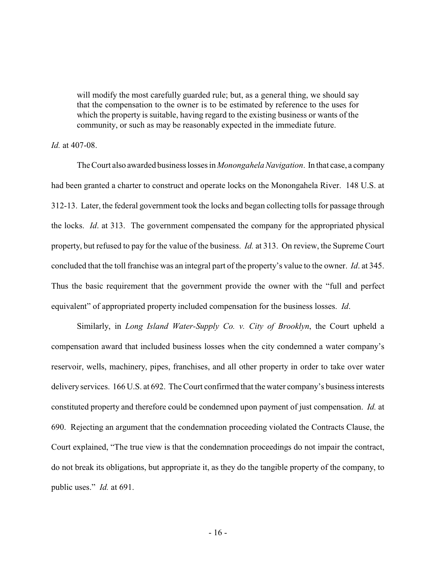will modify the most carefully guarded rule; but, as a general thing, we should say that the compensation to the owner is to be estimated by reference to the uses for which the property is suitable, having regard to the existing business or wants of the community, or such as may be reasonably expected in the immediate future.

#### *Id.* at 407-08.

The Court also awarded business losses in *Monongahela Navigation*. In that case, a company had been granted a charter to construct and operate locks on the Monongahela River. 148 U.S. at 312-13. Later, the federal government took the locks and began collecting tolls for passage through the locks. *Id*. at 313. The government compensated the company for the appropriated physical property, but refused to pay for the value of the business. *Id.* at 313. On review, the Supreme Court concluded that the toll franchise was an integral part of the property's value to the owner. *Id*. at 345. Thus the basic requirement that the government provide the owner with the "full and perfect equivalent" of appropriated property included compensation for the business losses. *Id*.

Similarly, in *Long Island Water-Supply Co. v. City of Brooklyn*, the Court upheld a compensation award that included business losses when the city condemned a water company's reservoir, wells, machinery, pipes, franchises, and all other property in order to take over water deliveryservices. 166 U.S. at 692. The Court confirmed that the water company's business interests constituted property and therefore could be condemned upon payment of just compensation. *Id.* at 690. Rejecting an argument that the condemnation proceeding violated the Contracts Clause, the Court explained, "The true view is that the condemnation proceedings do not impair the contract, do not break its obligations, but appropriate it, as they do the tangible property of the company, to public uses." *Id.* at 691.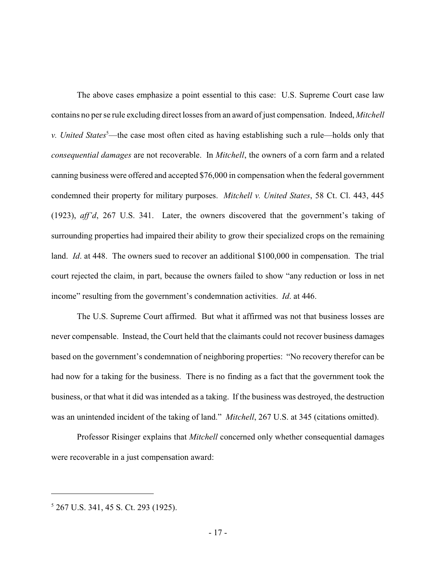The above cases emphasize a point essential to this case: U.S. Supreme Court case law contains no per se rule excluding direct losses from an award of just compensation. Indeed, *Mitchell v. United States*<sup>5</sup>—the case most often cited as having establishing such a rule—holds only that *consequential damages* are not recoverable. In *Mitchell*, the owners of a corn farm and a related canning business were offered and accepted \$76,000 in compensation when the federal government condemned their property for military purposes. *Mitchell v. United States*, 58 Ct. Cl. 443, 445 (1923), *aff'd*, 267 U.S. 341. Later, the owners discovered that the government's taking of surrounding properties had impaired their ability to grow their specialized crops on the remaining land. *Id*. at 448. The owners sued to recover an additional \$100,000 in compensation. The trial court rejected the claim, in part, because the owners failed to show "any reduction or loss in net income" resulting from the government's condemnation activities. *Id*. at 446.

The U.S. Supreme Court affirmed. But what it affirmed was not that business losses are never compensable. Instead, the Court held that the claimants could not recover business damages based on the government's condemnation of neighboring properties: "No recovery therefor can be had now for a taking for the business. There is no finding as a fact that the government took the business, or that what it did was intended as a taking. If the business was destroyed, the destruction was an unintended incident of the taking of land." *Mitchell*, 267 U.S. at 345 (citations omitted).

Professor Risinger explains that *Mitchell* concerned only whether consequential damages were recoverable in a just compensation award:

<sup>5</sup> 267 U.S. 341, 45 S. Ct. 293 (1925).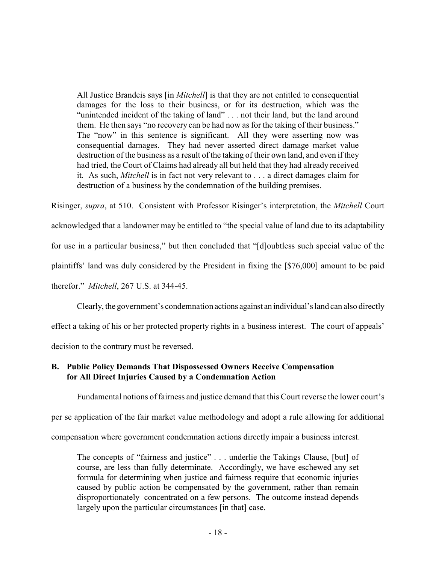All Justice Brandeis says [in *Mitchell*] is that they are not entitled to consequential damages for the loss to their business, or for its destruction, which was the "unintended incident of the taking of land" . . . not their land, but the land around them. He then says "no recovery can be had now as for the taking of their business." The "now" in this sentence is significant. All they were asserting now was consequential damages. They had never asserted direct damage market value destruction of the business as a result of the taking of their own land, and even if they had tried, the Court of Claims had already all but held that they had already received it. As such, *Mitchell* is in fact not very relevant to . . . a direct damages claim for destruction of a business by the condemnation of the building premises.

Risinger, *supra*, at 510. Consistent with Professor Risinger's interpretation, the *Mitchell* Court acknowledged that a landowner may be entitled to "the special value of land due to its adaptability for use in a particular business," but then concluded that "[d]oubtless such special value of the plaintiffs' land was duly considered by the President in fixing the [\$76,000] amount to be paid therefor." *Mitchell*, 267 U.S. at 344-45.

Clearly, the government's condemnation actions against an individual's land can also directly effect a taking of his or her protected property rights in a business interest. The court of appeals' decision to the contrary must be reversed.

# **B. Public Policy Demands That Dispossessed Owners Receive Compensation for All Direct Injuries Caused by a Condemnation Action**

Fundamental notions of fairness and justice demand that this Court reverse the lower court's

per se application of the fair market value methodology and adopt a rule allowing for additional

compensation where government condemnation actions directly impair a business interest.

The concepts of "fairness and justice" . . . underlie the Takings Clause, [but] of course, are less than fully determinate. Accordingly, we have eschewed any set formula for determining when justice and fairness require that economic injuries caused by public action be compensated by the government, rather than remain disproportionately concentrated on a few persons. The outcome instead depends largely upon the particular circumstances [in that] case.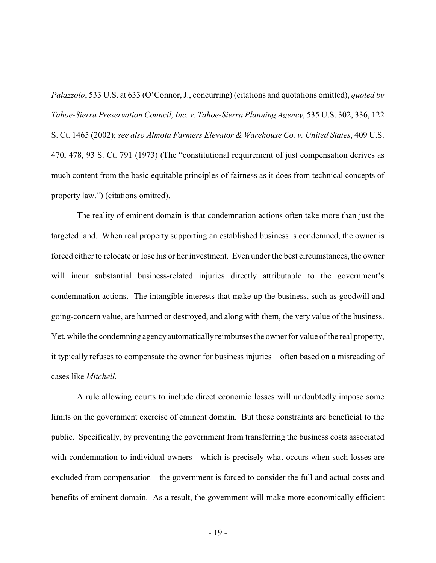*Palazzolo*, 533 U.S. at 633 (O'Connor, J., concurring) (citations and quotations omitted), *quoted by Tahoe-Sierra Preservation Council, Inc. v. Tahoe-Sierra Planning Agency*, 535 U.S. 302, 336, 122 S. Ct. 1465 (2002); *see also Almota Farmers Elevator & Warehouse Co. v. United States*, 409 U.S. 470, 478, 93 S. Ct. 791 (1973) (The "constitutional requirement of just compensation derives as much content from the basic equitable principles of fairness as it does from technical concepts of property law.") (citations omitted).

The reality of eminent domain is that condemnation actions often take more than just the targeted land. When real property supporting an established business is condemned, the owner is forced either to relocate or lose his or her investment. Even under the best circumstances, the owner will incur substantial business-related injuries directly attributable to the government's condemnation actions. The intangible interests that make up the business, such as goodwill and going-concern value, are harmed or destroyed, and along with them, the very value of the business. Yet, while the condemning agency automatically reimburses the owner for value of the real property, it typically refuses to compensate the owner for business injuries—often based on a misreading of cases like *Mitchell*.

A rule allowing courts to include direct economic losses will undoubtedly impose some limits on the government exercise of eminent domain. But those constraints are beneficial to the public. Specifically, by preventing the government from transferring the business costs associated with condemnation to individual owners—which is precisely what occurs when such losses are excluded from compensation—the government is forced to consider the full and actual costs and benefits of eminent domain. As a result, the government will make more economically efficient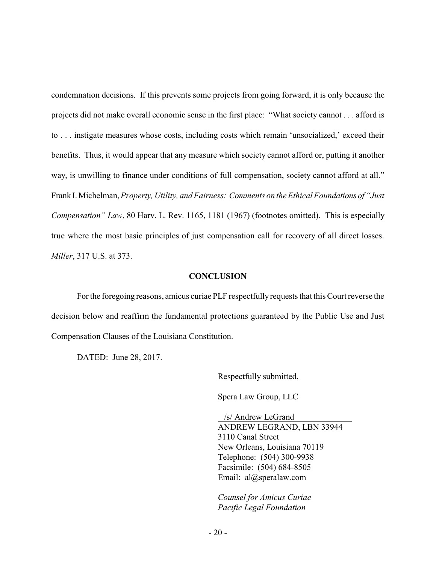condemnation decisions. If this prevents some projects from going forward, it is only because the projects did not make overall economic sense in the first place: "What society cannot . . . afford is to . . . instigate measures whose costs, including costs which remain 'unsocialized,' exceed their benefits. Thus, it would appear that any measure which society cannot afford or, putting it another way, is unwilling to finance under conditions of full compensation, society cannot afford at all." Frank I. Michelman, *Property, Utility, and Fairness: Comments on the Ethical Foundations of "Just Compensation" Law*, 80 Harv. L. Rev. 1165, 1181 (1967) (footnotes omitted). This is especially true where the most basic principles of just compensation call for recovery of all direct losses. *Miller*, 317 U.S. at 373.

#### **CONCLUSION**

For the foregoing reasons, amicus curiae PLF respectfully requests that this Court reverse the decision below and reaffirm the fundamental protections guaranteed by the Public Use and Just Compensation Clauses of the Louisiana Constitution.

DATED: June 28, 2017.

Respectfully submitted,

Spera Law Group, LLC

 /s/ Andrew LeGrand ANDREW LEGRAND, LBN 33944 3110 Canal Street New Orleans, Louisiana 70119 Telephone: (504) 300-9938 Facsimile: (504) 684-8505 Email: al@speralaw.com

*Counsel for Amicus Curiae Pacific Legal Foundation*